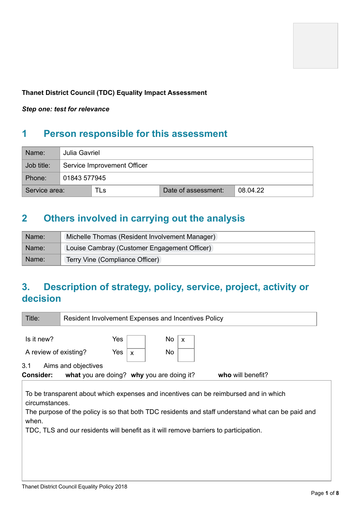

### **Thanet District Council (TDC) Equality Impact Assessment**

*Step one: test for relevance*

# **1 Person responsible for this assessment**

| Name:         | Julia Gavriel |                             |                     |          |  |  |  |  |  |
|---------------|---------------|-----------------------------|---------------------|----------|--|--|--|--|--|
| Job title:    |               | Service Improvement Officer |                     |          |  |  |  |  |  |
| Phone:        |               | 01843 577945                |                     |          |  |  |  |  |  |
| Service area: |               | TLs                         | Date of assessment: | 08.04.22 |  |  |  |  |  |

## **2 Others involved in carrying out the analysis**

| Name: | Michelle Thomas (Resident Involvement Manager) |
|-------|------------------------------------------------|
| Name: | Louise Cambray (Customer Engagement Officer)   |
| Name: | Terry Vine (Compliance Officer)                |

# **3. Description of strategy, policy, service, project, activity or decision**

| Title:                                     | <b>Resident Involvement Expenses and Incentives Policy</b>                                                                                                                                                                                                                                                                                                            |                          |              |  |  |  |  |
|--------------------------------------------|-----------------------------------------------------------------------------------------------------------------------------------------------------------------------------------------------------------------------------------------------------------------------------------------------------------------------------------------------------------------------|--------------------------|--------------|--|--|--|--|
| Is it new?<br>A review of existing?<br>3.1 | Yes<br>Yes<br>Aims and objectives                                                                                                                                                                                                                                                                                                                                     | No<br>No<br>$\mathsf{x}$ | $\mathsf{x}$ |  |  |  |  |
| <b>Consider:</b>                           |                                                                                                                                                                                                                                                                                                                                                                       |                          |              |  |  |  |  |
| when.                                      | who will benefit?<br>what you are doing? why you are doing it?<br>To be transparent about which expenses and incentives can be reimbursed and in which<br>circumstances.<br>The purpose of the policy is so that both TDC residents and staff understand what can be paid and<br>TDC, TLS and our residents will benefit as it will remove barriers to participation. |                          |              |  |  |  |  |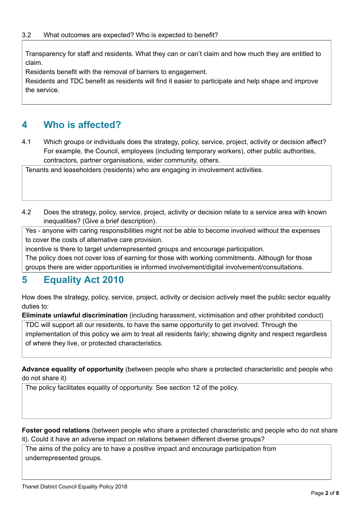Transparency for staff and residents. What they can or can't claim and how much they are entitled to claim.

Residents benefit with the removal of barriers to engagement.

Residents and TDC benefit as residents will find it easier to participate and help shape and improve the service.

## **4 Who is affected?**

4.1 Which groups or individuals does the strategy, policy, service, project, activity or decision affect? For example, the Council, employees (including temporary workers), other public authorities, contractors, partner organisations, wider community, others.

Tenants and leaseholders (residents) who are engaging in involvement activities.

4.2 Does the strategy, policy, service, project, activity or decision relate to a service area with known inequalities? (Give a brief description).

Yes - anyone with caring responsibilities might not be able to become involved without the expenses to cover the costs of alternative care provision.

incentive is there to target underrepresented groups and encourage participation.

The policy does not cover loss of earning for those with working commitments. Although for those groups there are wider opportunities ie informed involvement/digital involvement/consultations.

### **5 Equality Act 2010**

How does the strategy, policy, service, project, activity or decision actively meet the public sector equality duties to:

**Eliminate unlawful discrimination** (including harassment, victimisation and other prohibited conduct) TDC will support all our residents, to have the same opportunity to get involved. Through the

implementation of this policy we aim to treat all residents fairly; showing dignity and respect regardless of where they live, or protected characteristics.

**Advance equality of opportunity** (between people who share a protected characteristic and people who do not share it)

The policy facilitates equality of opportunity. See section 12 of the policy.

**Foster good relations** (between people who share a protected characteristic and people who do not share it). Could it have an adverse impact on relations between different diverse groups?

The aims of the policy are to have a positive impact and encourage participation from underrepresented groups.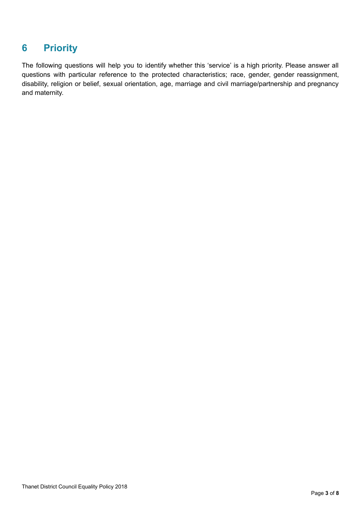# **6 Priority**

The following questions will help you to identify whether this 'service' is a high priority. Please answer all questions with particular reference to the protected characteristics; race, gender, gender reassignment, disability, religion or belief, sexual orientation, age, marriage and civil marriage/partnership and pregnancy and maternity.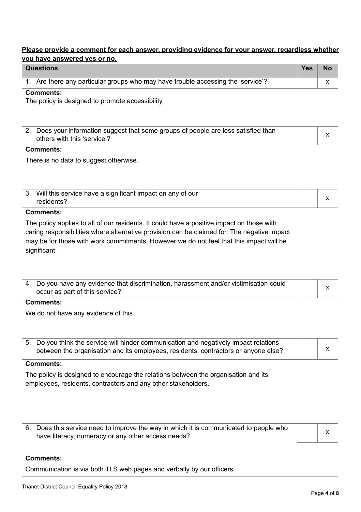### **Please provide a comment for each answer, providing evidence for your answer, regardless whether you have answered yes or no.**

| <b>Questions</b>                                                                                                                                                                                                                                                                                    | <b>Yes</b> | <b>No</b> |
|-----------------------------------------------------------------------------------------------------------------------------------------------------------------------------------------------------------------------------------------------------------------------------------------------------|------------|-----------|
| 1. Are there any particular groups who may have trouble accessing the 'service'?                                                                                                                                                                                                                    |            | X         |
| <b>Comments:</b><br>The policy is designed to promote accessibility.                                                                                                                                                                                                                                |            |           |
| 2. Does your information suggest that some groups of people are less satisfied than<br>others with this 'service'?                                                                                                                                                                                  |            | x         |
| <b>Comments:</b>                                                                                                                                                                                                                                                                                    |            |           |
| There is no data to suggest otherwise.                                                                                                                                                                                                                                                              |            |           |
| 3. Will this service have a significant impact on any of our<br>residents?                                                                                                                                                                                                                          |            | X         |
| <b>Comments:</b>                                                                                                                                                                                                                                                                                    |            |           |
| The policy applies to all of our residents. It could have a positive impact on those with<br>caring responsibilities where alternative provision can be claimed for. The negative impact<br>may be for those with work commitments. However we do not feel that this impact will be<br>significant. |            |           |
| Do you have any evidence that discrimination, harassment and/or victimisation could<br>4.<br>occur as part of this service?                                                                                                                                                                         |            | x         |
| <b>Comments:</b>                                                                                                                                                                                                                                                                                    |            |           |
| We do not have any evidence of this.                                                                                                                                                                                                                                                                |            |           |
| 5. Do you think the service will hinder communication and negatively impact relations<br>between the organisation and its employees, residents, contractors or anyone else?                                                                                                                         |            | X         |
| <b>Comments:</b>                                                                                                                                                                                                                                                                                    |            |           |
| The policy is designed to encourage the relations between the organisation and its<br>employees, residents, contractors and any other stakeholders.                                                                                                                                                 |            |           |
| 6. Does this service need to improve the way in which it is communicated to people who<br>have literacy, numeracy or any other access needs?                                                                                                                                                        |            | X         |
| <b>Comments:</b>                                                                                                                                                                                                                                                                                    |            |           |
| Communication is via both TLS web pages and verbally by our officers.                                                                                                                                                                                                                               |            |           |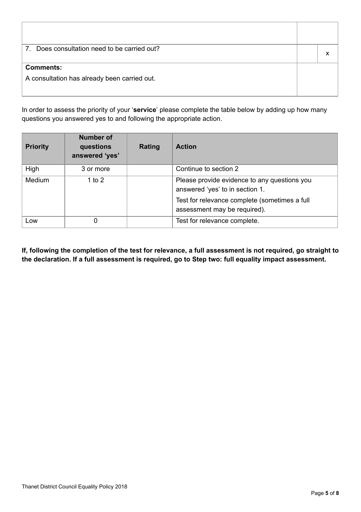| Does consultation need to be carried out?<br>$7_{\scriptscriptstyle{\sim}}$ |  |
|-----------------------------------------------------------------------------|--|
| <b>Comments:</b>                                                            |  |
| A consultation has already been carried out.                                |  |

In order to assess the priority of your '**service**' please complete the table below by adding up how many questions you answered yes to and following the appropriate action.

| <b>Priority</b> | <b>Number of</b><br>questions<br>answered 'yes' | Rating | <b>Action</b>                                                                                                                                                    |
|-----------------|-------------------------------------------------|--------|------------------------------------------------------------------------------------------------------------------------------------------------------------------|
| High            | 3 or more                                       |        | Continue to section 2                                                                                                                                            |
| Medium          | 1 to 2                                          |        | Please provide evidence to any questions you<br>answered 'yes' to in section 1.<br>Test for relevance complete (sometimes a full<br>assessment may be required). |
| Low             | 0                                               |        | Test for relevance complete.                                                                                                                                     |

If, following the completion of the test for relevance, a full assessment is not required, go straight to **the declaration. If a full assessment is required, go to Step two: full equality impact assessment.**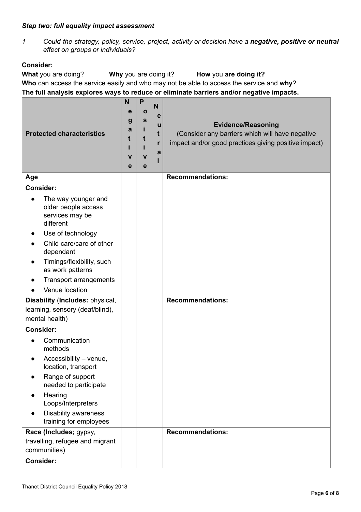#### *Step two: full equality impact assessment*

*1 Could the strategy, policy, service, project, activity or decision have a negative, positive or neutral effect on groups or individuals?*

#### **Consider:**

**What** you are doing? **Why** you are doing it? **How** you **are doing it? Who** can access the service easily and who may not be able to access the service and **why**? **The full analysis explores ways to reduce or eliminate barriers and/or negative impacts.**

| <b>Protected characteristics</b>                                                                                                                                                                                                              |  | P<br>Ο<br>$\mathbf{s}$<br>t<br>$\mathbf v$<br>e | N<br>$\mathbf e$<br>u<br>t<br>r<br>a | <b>Evidence/Reasoning</b><br>(Consider any barriers which will have negative<br>impact and/or good practices giving positive impact) |
|-----------------------------------------------------------------------------------------------------------------------------------------------------------------------------------------------------------------------------------------------|--|-------------------------------------------------|--------------------------------------|--------------------------------------------------------------------------------------------------------------------------------------|
| Age                                                                                                                                                                                                                                           |  |                                                 |                                      | <b>Recommendations:</b>                                                                                                              |
| <b>Consider:</b>                                                                                                                                                                                                                              |  |                                                 |                                      |                                                                                                                                      |
| The way younger and<br>$\bullet$<br>older people access<br>services may be<br>different<br>Use of technology<br>Child care/care of other<br>dependant<br>Timings/flexibility, such<br>$\bullet$<br>as work patterns<br>Transport arrangements |  |                                                 |                                      |                                                                                                                                      |
| Venue location                                                                                                                                                                                                                                |  |                                                 |                                      |                                                                                                                                      |
| Disability (Includes: physical,<br>learning, sensory (deaf/blind),<br>mental health)                                                                                                                                                          |  |                                                 |                                      | <b>Recommendations:</b>                                                                                                              |
| <b>Consider:</b>                                                                                                                                                                                                                              |  |                                                 |                                      |                                                                                                                                      |
| Communication<br>methods<br>Accessibility - venue,<br>location, transport<br>Range of support<br>needed to participate<br>Hearing<br>Loops/Interpreters<br><b>Disability awareness</b><br>training for employees                              |  |                                                 |                                      |                                                                                                                                      |
| Race (Includes; gypsy,<br>travelling, refugee and migrant                                                                                                                                                                                     |  |                                                 |                                      | <b>Recommendations:</b>                                                                                                              |
| communities)                                                                                                                                                                                                                                  |  |                                                 |                                      |                                                                                                                                      |
| <b>Consider:</b>                                                                                                                                                                                                                              |  |                                                 |                                      |                                                                                                                                      |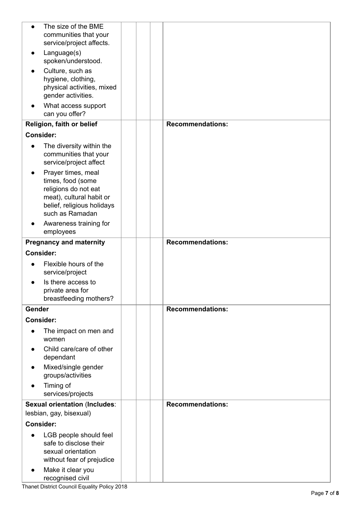| $\bullet$        | The size of the BME<br>communities that your<br>service/project affects.                                                                     |                         |
|------------------|----------------------------------------------------------------------------------------------------------------------------------------------|-------------------------|
|                  | Language(s)<br>spoken/understood.                                                                                                            |                         |
|                  | Culture, such as<br>hygiene, clothing,<br>physical activities, mixed<br>gender activities.                                                   |                         |
|                  | What access support<br>can you offer?                                                                                                        |                         |
|                  | Religion, faith or belief                                                                                                                    | <b>Recommendations:</b> |
| <b>Consider:</b> |                                                                                                                                              |                         |
| $\bullet$        | The diversity within the<br>communities that your<br>service/project affect                                                                  |                         |
|                  | Prayer times, meal<br>times, food (some<br>religions do not eat<br>meat), cultural habit or<br>belief, religious holidays<br>such as Ramadan |                         |
|                  | Awareness training for<br>employees                                                                                                          |                         |
|                  | <b>Pregnancy and maternity</b>                                                                                                               | <b>Recommendations:</b> |
| <b>Consider:</b> |                                                                                                                                              |                         |
|                  | Flexible hours of the<br>service/project                                                                                                     |                         |
|                  | Is there access to<br>private area for<br>breastfeeding mothers?                                                                             |                         |
| Gender           |                                                                                                                                              | <b>Recommendations:</b> |
| <b>Consider:</b> |                                                                                                                                              |                         |
|                  | The impact on men and<br>women                                                                                                               |                         |
|                  | Child care/care of other<br>dependant                                                                                                        |                         |
|                  | Mixed/single gender<br>groups/activities                                                                                                     |                         |
|                  | Timing of<br>services/projects                                                                                                               |                         |
|                  | <b>Sexual orientation (Includes:</b>                                                                                                         | <b>Recommendations:</b> |
|                  | lesbian, gay, bisexual)                                                                                                                      |                         |
| <b>Consider:</b> |                                                                                                                                              |                         |
|                  | LGB people should feel<br>safe to disclose their<br>sexual orientation<br>without fear of prejudice                                          |                         |
| $\bullet$        | Make it clear you<br>recognised civil                                                                                                        |                         |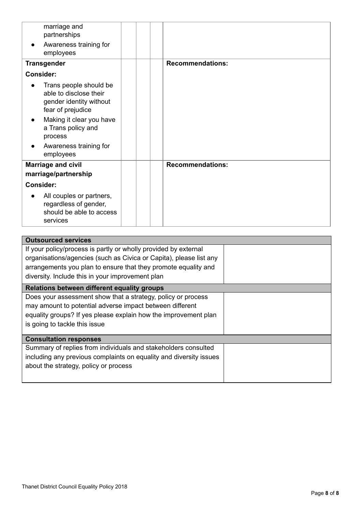|                  | marriage and<br>partnerships                                                                     |  |                         |
|------------------|--------------------------------------------------------------------------------------------------|--|-------------------------|
|                  | Awareness training for<br>employees                                                              |  |                         |
|                  | <b>Transgender</b>                                                                               |  | <b>Recommendations:</b> |
| <b>Consider:</b> |                                                                                                  |  |                         |
|                  | Trans people should be<br>able to disclose their<br>gender identity without<br>fear of prejudice |  |                         |
|                  | Making it clear you have<br>a Trans policy and<br>process                                        |  |                         |
|                  | Awareness training for<br>employees                                                              |  |                         |
|                  | <b>Marriage and civil</b>                                                                        |  | <b>Recommendations:</b> |
|                  | marriage/partnership                                                                             |  |                         |
| <b>Consider:</b> |                                                                                                  |  |                         |
|                  | All couples or partners,<br>regardless of gender,<br>should be able to access<br>services        |  |                         |

| <b>Outsourced services</b>                                         |  |
|--------------------------------------------------------------------|--|
| If your policy/process is partly or wholly provided by external    |  |
| organisations/agencies (such as Civica or Capita), please list any |  |
| arrangements you plan to ensure that they promote equality and     |  |
| diversity. Include this in your improvement plan                   |  |
| Relations between different equality groups                        |  |
| Does your assessment show that a strategy, policy or process       |  |
| may amount to potential adverse impact between different           |  |
| equality groups? If yes please explain how the improvement plan    |  |
| is going to tackle this issue                                      |  |
|                                                                    |  |
| <b>Consultation responses</b>                                      |  |
| Summary of replies from individuals and stakeholders consulted     |  |
| including any previous complaints on equality and diversity issues |  |
| about the strategy, policy or process                              |  |
|                                                                    |  |